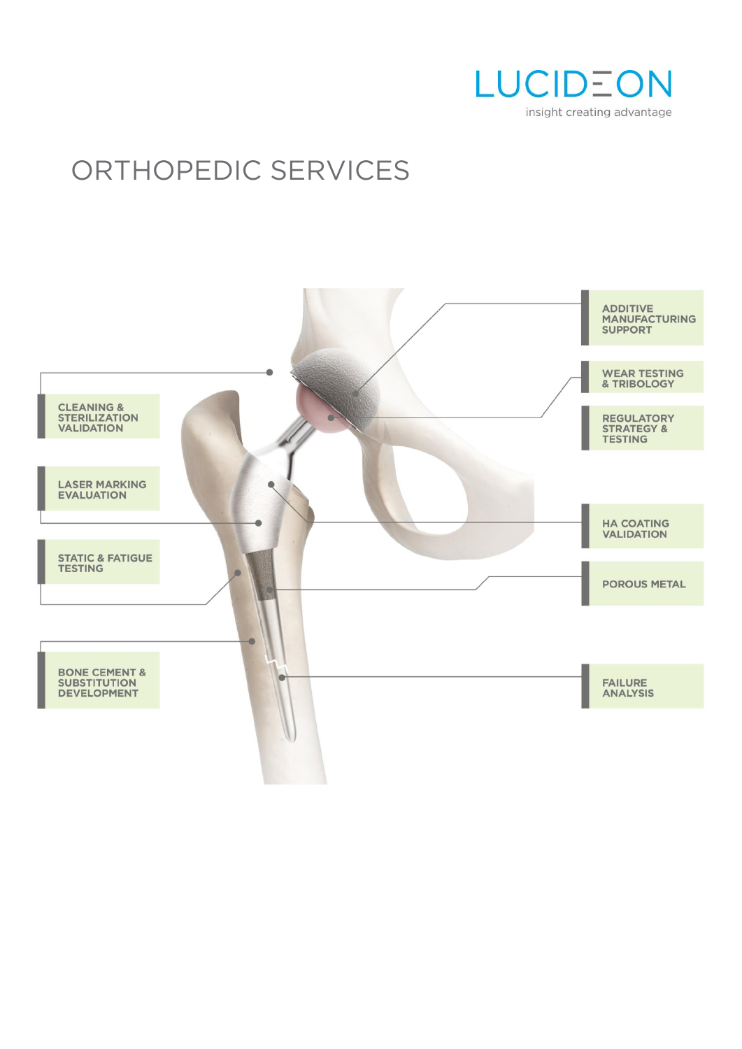

# ORTHOPEDIC SERVICES